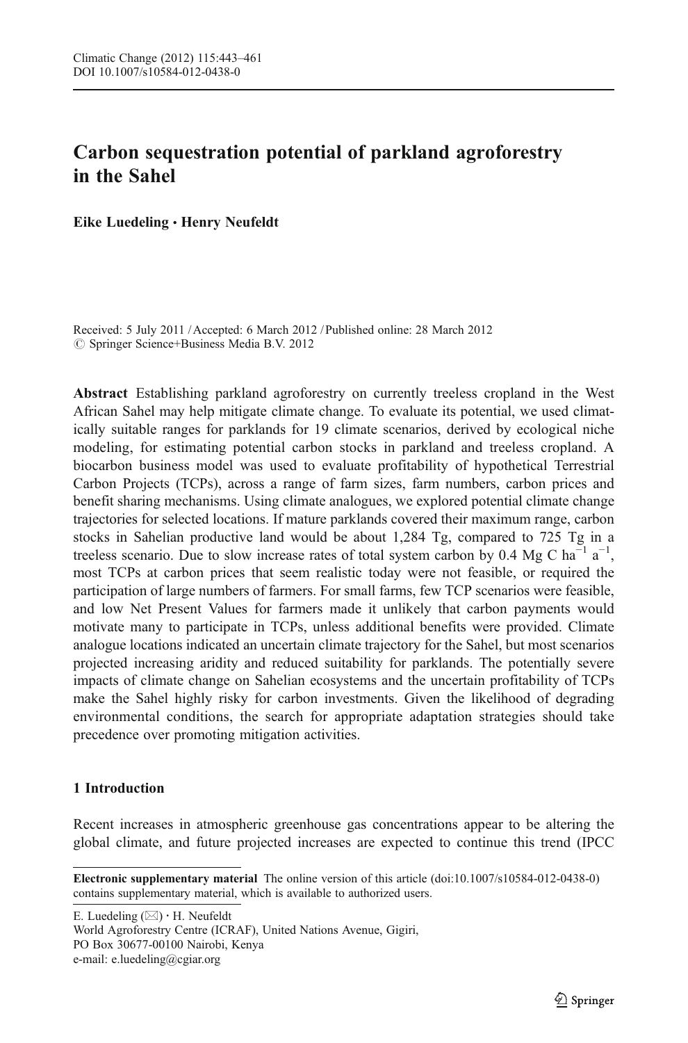# Carbon sequestration potential of parkland agroforestry in the Sahel

Eike Luedeling · Henry Neufeldt

Received: 5 July 2011 / Accepted: 6 March 2012 / Published online: 28 March 2012  $\oslash$  Springer Science+Business Media B.V. 2012

Abstract Establishing parkland agroforestry on currently treeless cropland in the West African Sahel may help mitigate climate change. To evaluate its potential, we used climatically suitable ranges for parklands for 19 climate scenarios, derived by ecological niche modeling, for estimating potential carbon stocks in parkland and treeless cropland. A biocarbon business model was used to evaluate profitability of hypothetical Terrestrial Carbon Projects (TCPs), across a range of farm sizes, farm numbers, carbon prices and benefit sharing mechanisms. Using climate analogues, we explored potential climate change trajectories for selected locations. If mature parklands covered their maximum range, carbon stocks in Sahelian productive land would be about 1,284 Tg, compared to 725 Tg in a treeless scenario. Due to slow increase rates of total system carbon by 0.4 Mg C ha<sup>-1</sup> a<sup>-1</sup>, most TCPs at carbon prices that seem realistic today were not feasible, or required the participation of large numbers of farmers. For small farms, few TCP scenarios were feasible, and low Net Present Values for farmers made it unlikely that carbon payments would motivate many to participate in TCPs, unless additional benefits were provided. Climate analogue locations indicated an uncertain climate trajectory for the Sahel, but most scenarios projected increasing aridity and reduced suitability for parklands. The potentially severe impacts of climate change on Sahelian ecosystems and the uncertain profitability of TCPs make the Sahel highly risky for carbon investments. Given the likelihood of degrading environmental conditions, the search for appropriate adaptation strategies should take precedence over promoting mitigation activities.

# 1 Introduction

Recent increases in atmospheric greenhouse gas concentrations appear to be altering the global climate, and future projected increases are expected to continue this trend (IPCC

E. Luedeling  $(\boxtimes) \cdot$  H. Neufeldt

World Agroforestry Centre (ICRAF), United Nations Avenue, Gigiri,

PO Box 30677-00100 Nairobi, Kenya

e-mail: e.luedeling@cgiar.org

Electronic supplementary material The online version of this article (doi[:10.1007/s10584-012-0438-0](http://dx.doi.org/10.1007/s10584-012-0438-0)) contains supplementary material, which is available to authorized users.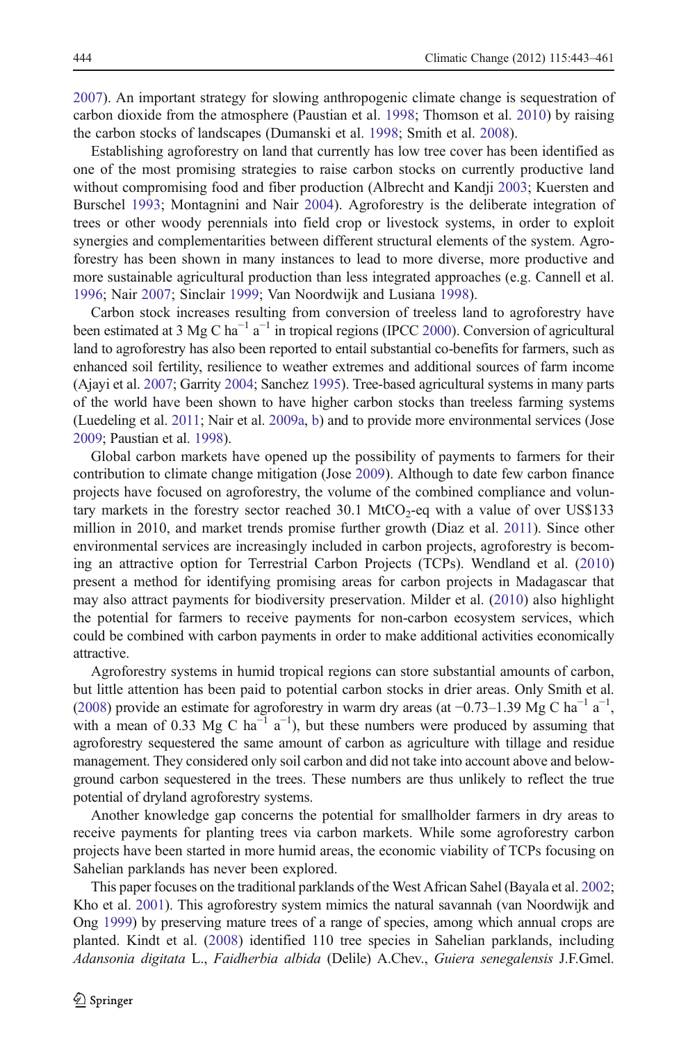[2007\)](#page-16-0). An important strategy for slowing anthropogenic climate change is sequestration of carbon dioxide from the atmosphere (Paustian et al. [1998](#page-17-0); Thomson et al. [2010](#page-17-0)) by raising the carbon stocks of landscapes (Dumanski et al. [1998;](#page-16-0) Smith et al. [2008\)](#page-17-0).

Establishing agroforestry on land that currently has low tree cover has been identified as one of the most promising strategies to raise carbon stocks on currently productive land without compromising food and fiber production (Albrecht and Kandji [2003](#page-15-0); Kuersten and Burschel [1993;](#page-16-0) Montagnini and Nair [2004](#page-17-0)). Agroforestry is the deliberate integration of trees or other woody perennials into field crop or livestock systems, in order to exploit synergies and complementarities between different structural elements of the system. Agroforestry has been shown in many instances to lead to more diverse, more productive and more sustainable agricultural production than less integrated approaches (e.g. Cannell et al. [1996;](#page-16-0) Nair [2007](#page-17-0); Sinclair [1999;](#page-17-0) Van Noordwijk and Lusiana [1998\)](#page-18-0).

Carbon stock increases resulting from conversion of treeless land to agroforestry have been estimated at 3 Mg C ha<sup>-1</sup> a<sup>-1</sup> in tropical regions (IPCC [2000\)](#page-16-0). Conversion of agricultural land to agroforestry has also been reported to entail substantial co-benefits for farmers, such as enhanced soil fertility, resilience to weather extremes and additional sources of farm income (Ajayi et al. [2007](#page-15-0); Garrity [2004](#page-16-0); Sanchez [1995\)](#page-17-0). Tree-based agricultural systems in many parts of the world have been shown to have higher carbon stocks than treeless farming systems (Luedeling et al. [2011;](#page-17-0) Nair et al. [2009a](#page-17-0), [b\)](#page-17-0) and to provide more environmental services (Jose [2009](#page-16-0); Paustian et al. [1998\)](#page-17-0).

Global carbon markets have opened up the possibility of payments to farmers for their contribution to climate change mitigation (Jose [2009](#page-16-0)). Although to date few carbon finance projects have focused on agroforestry, the volume of the combined compliance and voluntary markets in the forestry sector reached  $30.1 \text{ MtCO}_2$ -eq with a value of over US\$133 million in 2010, and market trends promise further growth (Diaz et al. [2011\)](#page-16-0). Since other environmental services are increasingly included in carbon projects, agroforestry is becoming an attractive option for Terrestrial Carbon Projects (TCPs). Wendland et al. ([2010\)](#page-18-0) present a method for identifying promising areas for carbon projects in Madagascar that may also attract payments for biodiversity preservation. Milder et al. ([2010\)](#page-17-0) also highlight the potential for farmers to receive payments for non-carbon ecosystem services, which could be combined with carbon payments in order to make additional activities economically attractive.

Agroforestry systems in humid tropical regions can store substantial amounts of carbon, but little attention has been paid to potential carbon stocks in drier areas. Only Smith et al. ([2008](#page-17-0)) provide an estimate for agroforestry in warm dry areas (at  $-0.73-1.39$  Mg C ha<sup>-1</sup> a<sup>-1</sup>, with a mean of 0.33 Mg C ha<sup>-1</sup> a<sup>-1</sup>), but these numbers were produced by assuming that agroforestry sequestered the same amount of carbon as agriculture with tillage and residue management. They considered only soil carbon and did not take into account above and belowground carbon sequestered in the trees. These numbers are thus unlikely to reflect the true potential of dryland agroforestry systems.

Another knowledge gap concerns the potential for smallholder farmers in dry areas to receive payments for planting trees via carbon markets. While some agroforestry carbon projects have been started in more humid areas, the economic viability of TCPs focusing on Sahelian parklands has never been explored.

This paper focuses on the traditional parklands of the West African Sahel (Bayala et al. [2002](#page-16-0); Kho et al. [2001](#page-16-0)). This agroforestry system mimics the natural savannah (van Noordwijk and Ong [1999](#page-18-0)) by preserving mature trees of a range of species, among which annual crops are planted. Kindt et al. [\(2008](#page-16-0)) identified 110 tree species in Sahelian parklands, including Adansonia digitata L., Faidherbia albida (Delile) A.Chev., Guiera senegalensis J.F.Gmel.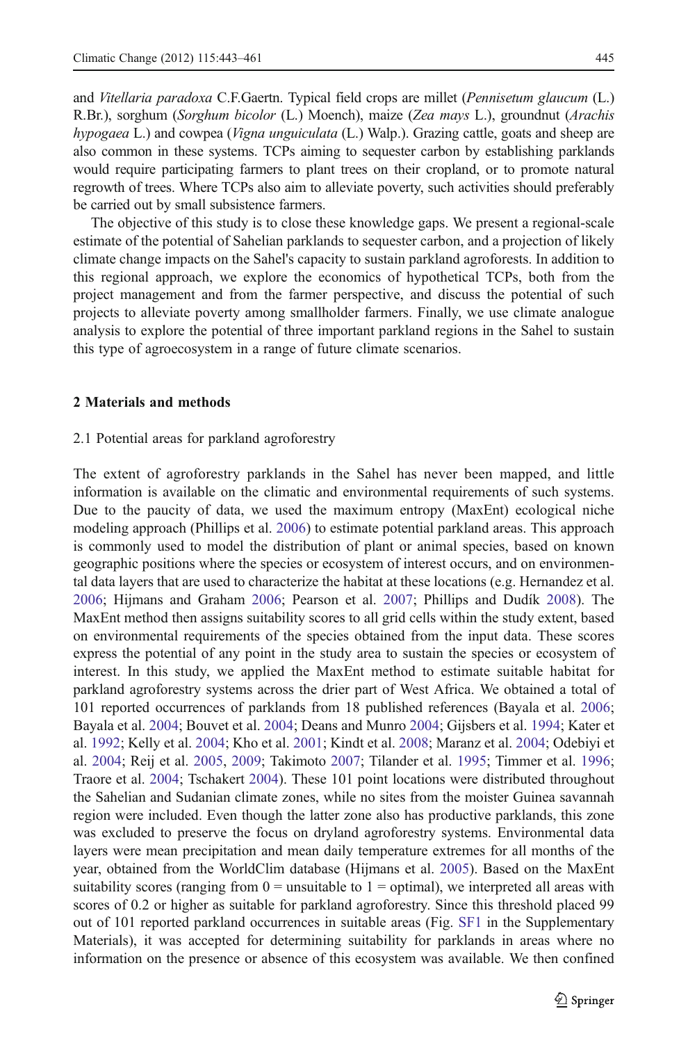and Vitellaria paradoxa C.F.Gaertn. Typical field crops are millet (Pennisetum glaucum (L.) R.Br.), sorghum (Sorghum bicolor (L.) Moench), maize (Zea mays L.), groundnut (Arachis hypogaea L.) and cowpea (*Vigna unguiculata* (L.) Walp.). Grazing cattle, goats and sheep are also common in these systems. TCPs aiming to sequester carbon by establishing parklands would require participating farmers to plant trees on their cropland, or to promote natural regrowth of trees. Where TCPs also aim to alleviate poverty, such activities should preferably

The objective of this study is to close these knowledge gaps. We present a regional-scale estimate of the potential of Sahelian parklands to sequester carbon, and a projection of likely climate change impacts on the Sahel's capacity to sustain parkland agroforests. In addition to this regional approach, we explore the economics of hypothetical TCPs, both from the project management and from the farmer perspective, and discuss the potential of such projects to alleviate poverty among smallholder farmers. Finally, we use climate analogue analysis to explore the potential of three important parkland regions in the Sahel to sustain this type of agroecosystem in a range of future climate scenarios.

## 2 Materials and methods

#### 2.1 Potential areas for parkland agroforestry

be carried out by small subsistence farmers.

The extent of agroforestry parklands in the Sahel has never been mapped, and little information is available on the climatic and environmental requirements of such systems. Due to the paucity of data, we used the maximum entropy (MaxEnt) ecological niche modeling approach (Phillips et al. [2006\)](#page-17-0) to estimate potential parkland areas. This approach is commonly used to model the distribution of plant or animal species, based on known geographic positions where the species or ecosystem of interest occurs, and on environmental data layers that are used to characterize the habitat at these locations (e.g. Hernandez et al. [2006;](#page-16-0) Hijmans and Graham [2006;](#page-16-0) Pearson et al. [2007;](#page-17-0) Phillips and Dudík [2008](#page-17-0)). The MaxEnt method then assigns suitability scores to all grid cells within the study extent, based on environmental requirements of the species obtained from the input data. These scores express the potential of any point in the study area to sustain the species or ecosystem of interest. In this study, we applied the MaxEnt method to estimate suitable habitat for parkland agroforestry systems across the drier part of West Africa. We obtained a total of 101 reported occurrences of parklands from 18 published references (Bayala et al. [2006](#page-16-0); Bayala et al. [2004](#page-16-0); Bouvet et al. [2004;](#page-16-0) Deans and Munro [2004;](#page-16-0) Gijsbers et al. [1994](#page-16-0); Kater et al. [1992;](#page-16-0) Kelly et al. [2004;](#page-16-0) Kho et al. [2001](#page-16-0); Kindt et al. [2008;](#page-16-0) Maranz et al. [2004;](#page-17-0) Odebiyi et al. [2004;](#page-17-0) Reij et al. [2005,](#page-17-0) [2009;](#page-17-0) Takimoto [2007](#page-17-0); Tilander et al. [1995;](#page-17-0) Timmer et al. [1996](#page-17-0); Traore et al. [2004;](#page-18-0) Tschakert [2004](#page-18-0)). These 101 point locations were distributed throughout the Sahelian and Sudanian climate zones, while no sites from the moister Guinea savannah region were included. Even though the latter zone also has productive parklands, this zone was excluded to preserve the focus on dryland agroforestry systems. Environmental data layers were mean precipitation and mean daily temperature extremes for all months of the year, obtained from the WorldClim database (Hijmans et al. [2005\)](#page-16-0). Based on the MaxEnt suitability scores (ranging from  $0 =$  unsuitable to  $1 =$  optimal), we interpreted all areas with scores of 0.2 or higher as suitable for parkland agroforestry. Since this threshold placed 99 out of 101 reported parkland occurrences in suitable areas (Fig. SF1 in the Supplementary Materials), it was accepted for determining suitability for parklands in areas where no information on the presence or absence of this ecosystem was available. We then confined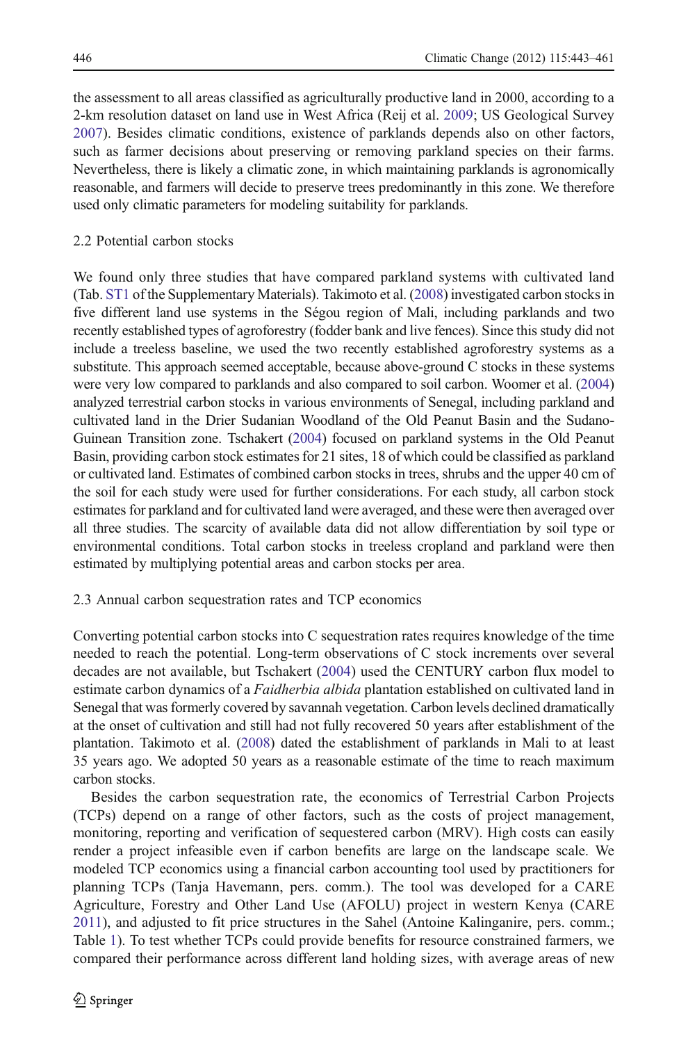the assessment to all areas classified as agriculturally productive land in 2000, according to a 2-km resolution dataset on land use in West Africa (Reij et al. [2009](#page-17-0); US Geological Survey [2007\)](#page-18-0). Besides climatic conditions, existence of parklands depends also on other factors, such as farmer decisions about preserving or removing parkland species on their farms. Nevertheless, there is likely a climatic zone, in which maintaining parklands is agronomically reasonable, and farmers will decide to preserve trees predominantly in this zone. We therefore used only climatic parameters for modeling suitability for parklands.

## 2.2 Potential carbon stocks

We found only three studies that have compared parkland systems with cultivated land (Tab. ST1 of the Supplementary Materials). Takimoto et al. ([2008](#page-17-0)) investigated carbon stocks in five different land use systems in the Ségou region of Mali, including parklands and two recently established types of agroforestry (fodder bank and live fences). Since this study did not include a treeless baseline, we used the two recently established agroforestry systems as a substitute. This approach seemed acceptable, because above-ground C stocks in these systems were very low compared to parklands and also compared to soil carbon. Woomer et al. [\(2004\)](#page-18-0) analyzed terrestrial carbon stocks in various environments of Senegal, including parkland and cultivated land in the Drier Sudanian Woodland of the Old Peanut Basin and the Sudano-Guinean Transition zone. Tschakert [\(2004\)](#page-18-0) focused on parkland systems in the Old Peanut Basin, providing carbon stock estimates for 21 sites, 18 of which could be classified as parkland or cultivated land. Estimates of combined carbon stocks in trees, shrubs and the upper 40 cm of the soil for each study were used for further considerations. For each study, all carbon stock estimates for parkland and for cultivated land were averaged, and these were then averaged over all three studies. The scarcity of available data did not allow differentiation by soil type or environmental conditions. Total carbon stocks in treeless cropland and parkland were then estimated by multiplying potential areas and carbon stocks per area.

## 2.3 Annual carbon sequestration rates and TCP economics

Converting potential carbon stocks into C sequestration rates requires knowledge of the time needed to reach the potential. Long-term observations of C stock increments over several decades are not available, but Tschakert [\(2004](#page-18-0)) used the CENTURY carbon flux model to estimate carbon dynamics of a Faidherbia albida plantation established on cultivated land in Senegal that was formerly covered by savannah vegetation. Carbon levels declined dramatically at the onset of cultivation and still had not fully recovered 50 years after establishment of the plantation. Takimoto et al. [\(2008\)](#page-17-0) dated the establishment of parklands in Mali to at least 35 years ago. We adopted 50 years as a reasonable estimate of the time to reach maximum carbon stocks.

Besides the carbon sequestration rate, the economics of Terrestrial Carbon Projects (TCPs) depend on a range of other factors, such as the costs of project management, monitoring, reporting and verification of sequestered carbon (MRV). High costs can easily render a project infeasible even if carbon benefits are large on the landscape scale. We modeled TCP economics using a financial carbon accounting tool used by practitioners for planning TCPs (Tanja Havemann, pers. comm.). The tool was developed for a CARE Agriculture, Forestry and Other Land Use (AFOLU) project in western Kenya (CARE [2011](#page-16-0)), and adjusted to fit price structures in the Sahel (Antoine Kalinganire, pers. comm.; Table [1\)](#page-4-0). To test whether TCPs could provide benefits for resource constrained farmers, we compared their performance across different land holding sizes, with average areas of new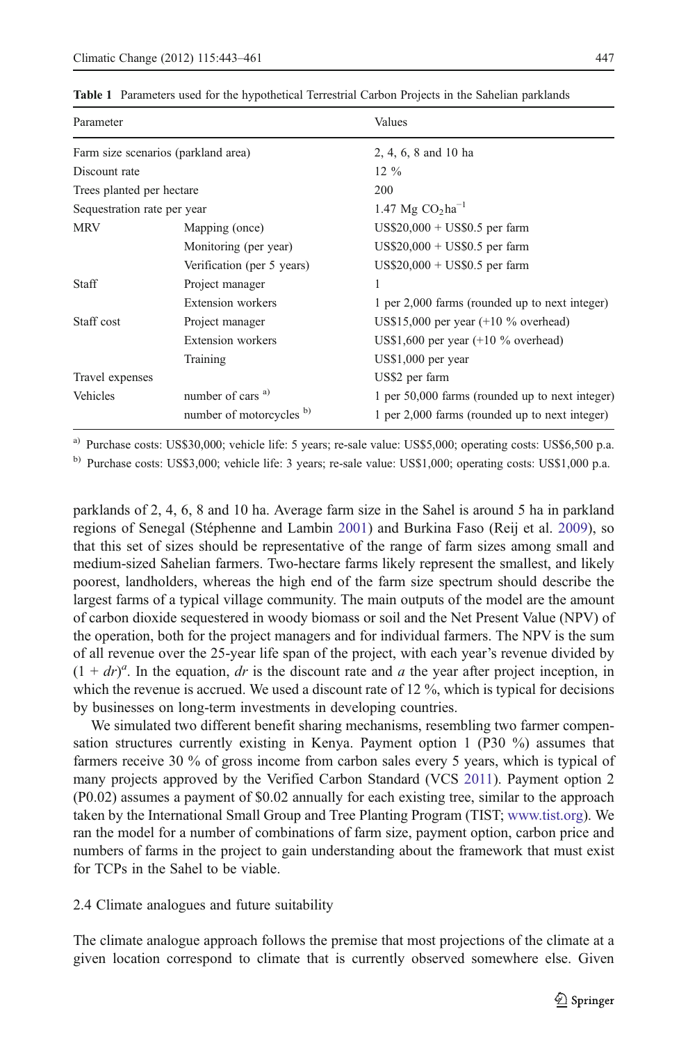| Parameter                   |                                     | Values                                          |  |  |
|-----------------------------|-------------------------------------|-------------------------------------------------|--|--|
|                             | Farm size scenarios (parkland area) | 2, 4, 6, 8 and 10 ha<br>$12\%$                  |  |  |
| Discount rate               |                                     |                                                 |  |  |
| Trees planted per hectare   |                                     | 200                                             |  |  |
| Sequestration rate per year |                                     | 1.47 Mg $CO2ha-1$                               |  |  |
| <b>MRV</b>                  | Mapping (once)                      | $US$20,000 + US$0.5$ per farm                   |  |  |
|                             | Monitoring (per year)               | $US$20,000 + US$0.5$ per farm                   |  |  |
|                             | Verification (per 5 years)          | $US$20,000 + US$0.5$ per farm                   |  |  |
| Staff                       | Project manager                     |                                                 |  |  |
|                             | Extension workers                   | 1 per 2,000 farms (rounded up to next integer)  |  |  |
| Staff cost                  | Project manager                     | US\$15,000 per year $(+10\%$ overhead)          |  |  |
|                             | <b>Extension</b> workers            | US\$1,600 per year $(+10\%$ overhead)           |  |  |
|                             | Training                            | $US$1,000$ per year                             |  |  |
| Travel expenses             |                                     | US\$2 per farm                                  |  |  |
| Vehicles                    | number of cars <sup>a)</sup>        | 1 per 50,000 farms (rounded up to next integer) |  |  |
|                             | number of motorcycles b)            | 1 per 2,000 farms (rounded up to next integer)  |  |  |

<span id="page-4-0"></span>Table 1 Parameters used for the hypothetical Terrestrial Carbon Projects in the Sahelian parklands

a) Purchase costs: US\$30,000; vehicle life: 5 years; re-sale value: US\$5,000; operating costs: US\$6,500 p.a.

b) Purchase costs: US\$3,000; vehicle life: 3 years; re-sale value: US\$1,000; operating costs: US\$1,000 p.a.

parklands of 2, 4, 6, 8 and 10 ha. Average farm size in the Sahel is around 5 ha in parkland regions of Senegal (Stéphenne and Lambin [2001](#page-17-0)) and Burkina Faso (Reij et al. [2009\)](#page-17-0), so that this set of sizes should be representative of the range of farm sizes among small and medium-sized Sahelian farmers. Two-hectare farms likely represent the smallest, and likely poorest, landholders, whereas the high end of the farm size spectrum should describe the largest farms of a typical village community. The main outputs of the model are the amount of carbon dioxide sequestered in woody biomass or soil and the Net Present Value (NPV) of the operation, both for the project managers and for individual farmers. The NPV is the sum of all revenue over the 25-year life span of the project, with each year's revenue divided by  $(1 + dr)^a$ . In the equation, dr is the discount rate and a the year after project inception, in which the revenue is accrued. We used a discount rate of 12 %, which is typical for decisions by businesses on long-term investments in developing countries.

We simulated two different benefit sharing mechanisms, resembling two farmer compensation structures currently existing in Kenya. Payment option 1 (P30 %) assumes that farmers receive 30 % of gross income from carbon sales every 5 years, which is typical of many projects approved by the Verified Carbon Standard (VCS [2011](#page-18-0)). Payment option 2 (P0.02) assumes a payment of \$0.02 annually for each existing tree, similar to the approach taken by the International Small Group and Tree Planting Program (TIST; [www.tist.org\)](http://www.tist.org). We ran the model for a number of combinations of farm size, payment option, carbon price and numbers of farms in the project to gain understanding about the framework that must exist for TCPs in the Sahel to be viable.

#### 2.4 Climate analogues and future suitability

The climate analogue approach follows the premise that most projections of the climate at a given location correspond to climate that is currently observed somewhere else. Given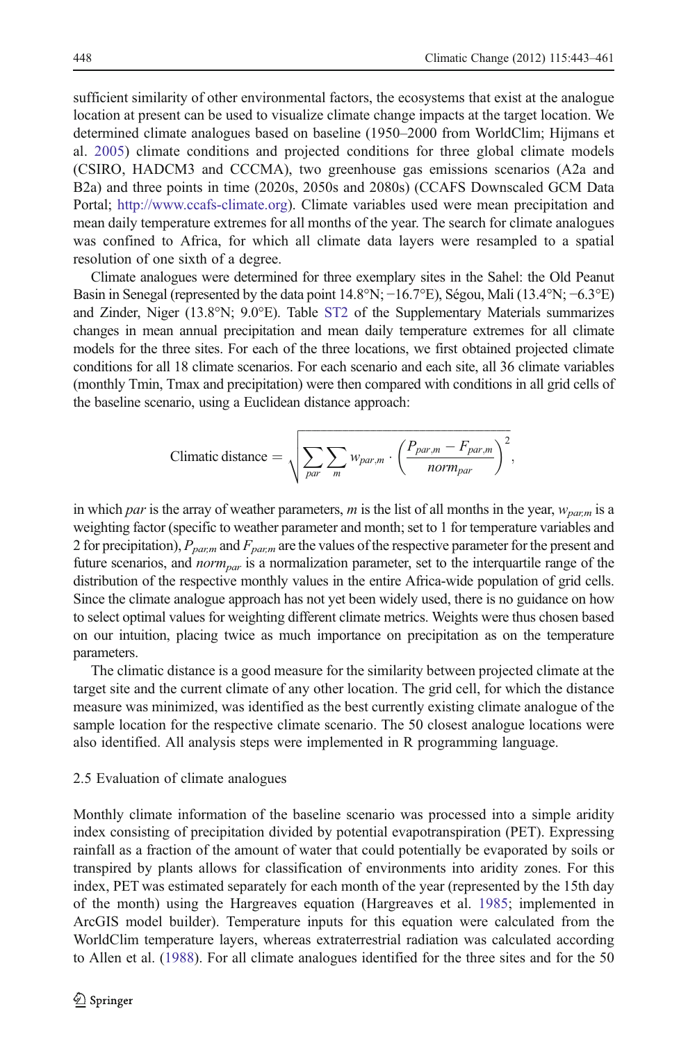sufficient similarity of other environmental factors, the ecosystems that exist at the analogue location at present can be used to visualize climate change impacts at the target location. We determined climate analogues based on baseline (1950–2000 from WorldClim; Hijmans et al. [2005\)](#page-16-0) climate conditions and projected conditions for three global climate models (CSIRO, HADCM3 and CCCMA), two greenhouse gas emissions scenarios (A2a and B2a) and three points in time (2020s, 2050s and 2080s) (CCAFS Downscaled GCM Data Portal; [http://www.ccafs-climate.org\)](http://www.ccafs-climate.org). Climate variables used were mean precipitation and mean daily temperature extremes for all months of the year. The search for climate analogues was confined to Africa, for which all climate data layers were resampled to a spatial resolution of one sixth of a degree.

Climate analogues were determined for three exemplary sites in the Sahel: the Old Peanut Basin in Senegal (represented by the data point 14.8°N; −16.7°E), Ségou, Mali (13.4°N; −6.3°E) and Zinder, Niger (13.8°N; 9.0°E). Table ST2 of the Supplementary Materials summarizes changes in mean annual precipitation and mean daily temperature extremes for all climate models for the three sites. For each of the three locations, we first obtained projected climate conditions for all 18 climate scenarios. For each scenario and each site, all 36 climate variables (monthly Tmin, Tmax and precipitation) were then compared with conditions in all grid cells of the baseline scenario, using a Euclidean distance approach:

$$
\text{Climatic distance} = \sqrt{\sum_{par} \sum_{m} w_{par,m} \cdot \left(\frac{P_{par,m} - F_{par,m}}{norm_{par}}\right)^2},
$$

ffiffiffiffiffiffiffiffiffiffiffiffiffiffiffiffiffiffiffiffiffiffiffiffiffiffiffiffiffiffiffiffiffiffiffiffiffiffiffiffiffiffiffiffiffiffiffiffiffiffiffiffiffiffiffiffiffiffiffiffiffiffiffiffiffiffiffiffi

in which par is the array of weather parameters, m is the list of all months in the year,  $w_{param}$  is a weighting factor (specific to weather parameter and month; set to 1 for temperature variables and 2 for precipitation),  $P_{\text{param}}$  and  $F_{\text{param}}$  are the values of the respective parameter for the present and future scenarios, and *norm<sub>par</sub>* is a normalization parameter, set to the interquartile range of the distribution of the respective monthly values in the entire Africa-wide population of grid cells. Since the climate analogue approach has not yet been widely used, there is no guidance on how to select optimal values for weighting different climate metrics. Weights were thus chosen based on our intuition, placing twice as much importance on precipitation as on the temperature parameters.

The climatic distance is a good measure for the similarity between projected climate at the target site and the current climate of any other location. The grid cell, for which the distance measure was minimized, was identified as the best currently existing climate analogue of the sample location for the respective climate scenario. The 50 closest analogue locations were also identified. All analysis steps were implemented in R programming language.

#### 2.5 Evaluation of climate analogues

Monthly climate information of the baseline scenario was processed into a simple aridity index consisting of precipitation divided by potential evapotranspiration (PET). Expressing rainfall as a fraction of the amount of water that could potentially be evaporated by soils or transpired by plants allows for classification of environments into aridity zones. For this index, PET was estimated separately for each month of the year (represented by the 15th day of the month) using the Hargreaves equation (Hargreaves et al. [1985;](#page-16-0) implemented in ArcGIS model builder). Temperature inputs for this equation were calculated from the WorldClim temperature layers, whereas extraterrestrial radiation was calculated according to Allen et al. [\(1988](#page-16-0)). For all climate analogues identified for the three sites and for the 50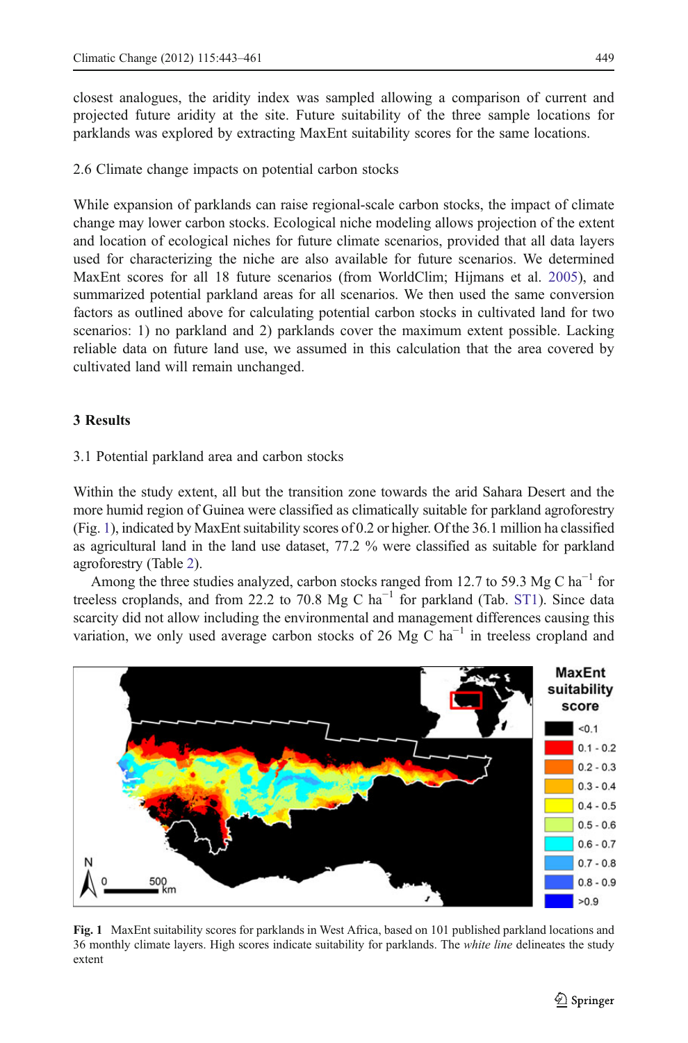closest analogues, the aridity index was sampled allowing a comparison of current and projected future aridity at the site. Future suitability of the three sample locations for parklands was explored by extracting MaxEnt suitability scores for the same locations.

2.6 Climate change impacts on potential carbon stocks

While expansion of parklands can raise regional-scale carbon stocks, the impact of climate change may lower carbon stocks. Ecological niche modeling allows projection of the extent and location of ecological niches for future climate scenarios, provided that all data layers used for characterizing the niche are also available for future scenarios. We determined MaxEnt scores for all 18 future scenarios (from WorldClim; Hijmans et al. [2005](#page-16-0)), and summarized potential parkland areas for all scenarios. We then used the same conversion factors as outlined above for calculating potential carbon stocks in cultivated land for two scenarios: 1) no parkland and 2) parklands cover the maximum extent possible. Lacking reliable data on future land use, we assumed in this calculation that the area covered by cultivated land will remain unchanged.

# 3 Results

## 3.1 Potential parkland area and carbon stocks

Within the study extent, all but the transition zone towards the arid Sahara Desert and the more humid region of Guinea were classified as climatically suitable for parkland agroforestry (Fig. 1), indicated by MaxEnt suitability scores of 0.2 or higher. Of the 36.1 million ha classified as agricultural land in the land use dataset, 77.2 % were classified as suitable for parkland agroforestry (Table [2](#page-7-0)).

Among the three studies analyzed, carbon stocks ranged from 12.7 to 59.3 Mg C ha<sup>-1</sup> for treeless croplands, and from 22.2 to 70.8 Mg C ha<sup>-1</sup> for parkland (Tab. ST1). Since data scarcity did not allow including the environmental and management differences causing this variation, we only used average carbon stocks of 26 Mg C  $ha^{-1}$  in treeless cropland and



Fig. 1 MaxEnt suitability scores for parklands in West Africa, based on 101 published parkland locations and 36 monthly climate layers. High scores indicate suitability for parklands. The *white line* delineates the study extent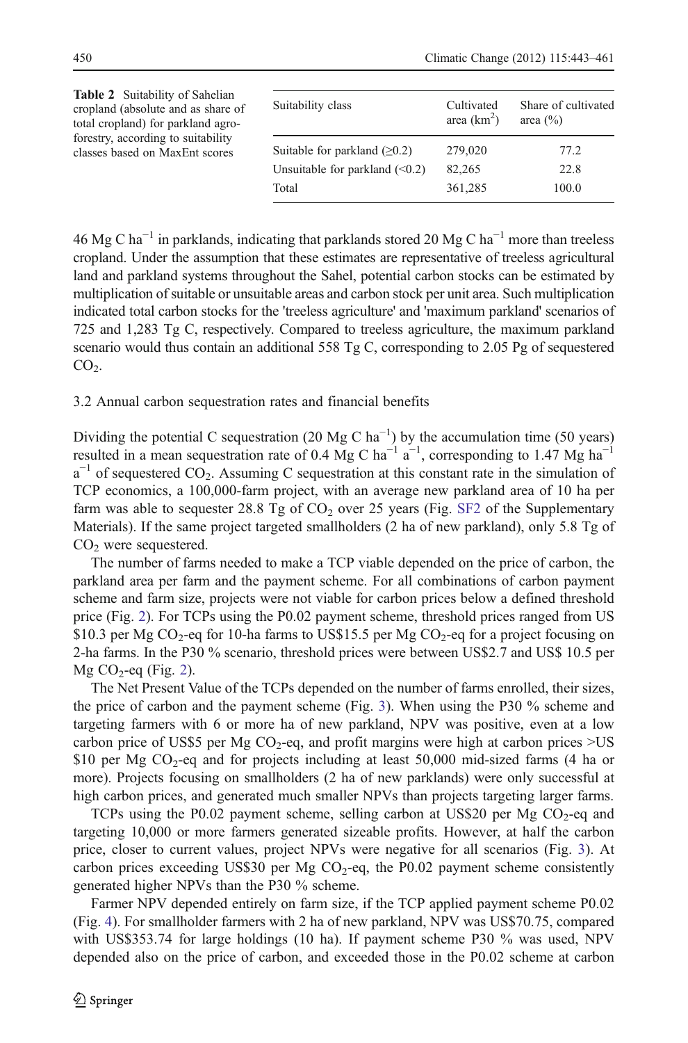<span id="page-7-0"></span>

| <b>Table 2</b> Suitability of Sahelian<br>cropland (absolute and as share of<br>total cropland) for parkland agro- | Suitability class                    | Cultivated<br>area $(km2)$ | Share of cultivated<br>area $(\% )$ |
|--------------------------------------------------------------------------------------------------------------------|--------------------------------------|----------------------------|-------------------------------------|
| forestry, according to suitability<br>classes based on MaxEnt scores                                               | Suitable for parkland $(\geq 0.2)$   | 279,020                    | 77.2                                |
|                                                                                                                    | Unsuitable for parkland $(\leq 0.2)$ | 82,265                     | 22.8                                |
|                                                                                                                    | Total                                | 361,285                    | 100.0                               |

46 Mg C ha<sup>-1</sup> in parklands, indicating that parklands stored 20 Mg C ha<sup>-1</sup> more than treeless cropland. Under the assumption that these estimates are representative of treeless agricultural land and parkland systems throughout the Sahel, potential carbon stocks can be estimated by multiplication of suitable or unsuitable areas and carbon stock per unit area. Such multiplication indicated total carbon stocks for the 'treeless agriculture' and 'maximum parkland' scenarios of 725 and 1,283 Tg C, respectively. Compared to treeless agriculture, the maximum parkland scenario would thus contain an additional 558 Tg C, corresponding to 2.05 Pg of sequestered  $CO<sub>2</sub>$ .

## 3.2 Annual carbon sequestration rates and financial benefits

Dividing the potential C sequestration (20 Mg C ha<sup>-1</sup>) by the accumulation time (50 years) resulted in a mean sequestration rate of 0.4 Mg C ha<sup>-1</sup> a<sup>-1</sup>, corresponding to 1.47 Mg ha<sup>-1</sup>  $a^{-1}$  of sequestered CO<sub>2</sub>. Assuming C sequestration at this constant rate in the simulation of TCP economics, a 100,000-farm project, with an average new parkland area of 10 ha per farm was able to sequester 28.8 Tg of  $CO<sub>2</sub>$  over 25 years (Fig. SF2 of the Supplementary Materials). If the same project targeted smallholders (2 ha of new parkland), only 5.8 Tg of  $CO<sub>2</sub>$  were sequestered.

The number of farms needed to make a TCP viable depended on the price of carbon, the parkland area per farm and the payment scheme. For all combinations of carbon payment scheme and farm size, projects were not viable for carbon prices below a defined threshold price (Fig. [2](#page-8-0)). For TCPs using the P0.02 payment scheme, threshold prices ranged from US \$10.3 per Mg CO<sub>2</sub>-eq for 10-ha farms to US\$15.5 per Mg CO<sub>2</sub>-eq for a project focusing on 2-ha farms. In the P30 % scenario, threshold prices were between US\$2.7 and US\$ 10.5 per Mg  $CO_2$ -eq (Fig. [2\)](#page-8-0).

The Net Present Value of the TCPs depended on the number of farms enrolled, their sizes, the price of carbon and the payment scheme (Fig. [3\)](#page-9-0). When using the P30 % scheme and targeting farmers with 6 or more ha of new parkland, NPV was positive, even at a low carbon price of US\$5 per Mg  $CO<sub>2</sub>$ -eq, and profit margins were high at carbon prices  $>$ US \$10 per Mg  $CO<sub>2</sub>$ -eq and for projects including at least 50,000 mid-sized farms (4 ha or more). Projects focusing on smallholders (2 ha of new parklands) were only successful at high carbon prices, and generated much smaller NPVs than projects targeting larger farms.

TCPs using the P0.02 payment scheme, selling carbon at US\$20 per Mg  $CO<sub>2</sub>$ -eq and targeting 10,000 or more farmers generated sizeable profits. However, at half the carbon price, closer to current values, project NPVs were negative for all scenarios (Fig. [3](#page-9-0)). At carbon prices exceeding US\$30 per Mg  $CO<sub>2</sub>$ -eq, the P0.02 payment scheme consistently generated higher NPVs than the P30 % scheme.

Farmer NPV depended entirely on farm size, if the TCP applied payment scheme P0.02 (Fig. [4\)](#page-9-0). For smallholder farmers with 2 ha of new parkland, NPV was US\$70.75, compared with US\$353.74 for large holdings (10 ha). If payment scheme P30 % was used, NPV depended also on the price of carbon, and exceeded those in the P0.02 scheme at carbon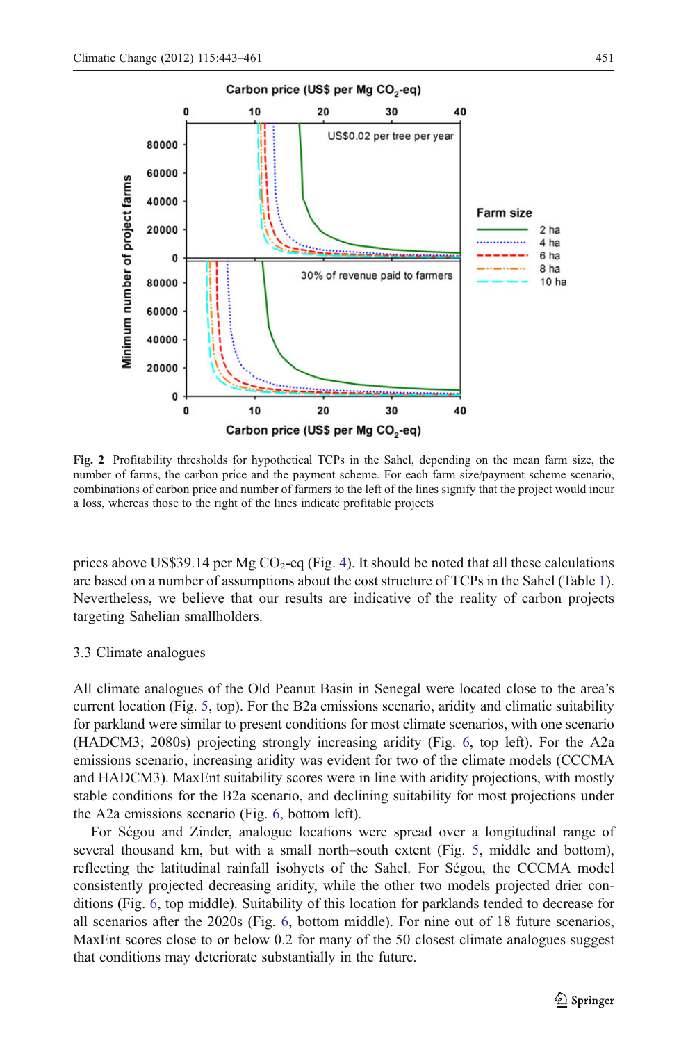<span id="page-8-0"></span>

Fig. 2 Profitability thresholds for hypothetical TCPs in the Sahel, depending on the mean farm size, the number of farms, the carbon price and the payment scheme. For each farm size/payment scheme scenario, combinations of carbon price and number of farmers to the left of the lines signify that the project would incur a loss, whereas those to the right of the lines indicate profitable projects

prices above US\$39.14 per Mg  $CO_2$ -eq (Fig. [4\)](#page-9-0). It should be noted that all these calculations are based on a number of assumptions about the cost structure of TCPs in the Sahel (Table [1](#page-4-0)). Nevertheless, we believe that our results are indicative of the reality of carbon projects targeting Sahelian smallholders.

## 3.3 Climate analogues

All climate analogues of the Old Peanut Basin in Senegal were located close to the area's current location (Fig. [5](#page-10-0), top). For the B2a emissions scenario, aridity and climatic suitability for parkland were similar to present conditions for most climate scenarios, with one scenario (HADCM3; 2080s) projecting strongly increasing aridity (Fig. [6](#page-11-0), top left). For the A2a emissions scenario, increasing aridity was evident for two of the climate models (CCCMA and HADCM3). MaxEnt suitability scores were in line with aridity projections, with mostly stable conditions for the B2a scenario, and declining suitability for most projections under the A2a emissions scenario (Fig. [6,](#page-11-0) bottom left).

For Ségou and Zinder, analogue locations were spread over a longitudinal range of several thousand km, but with a small north–south extent (Fig. [5](#page-10-0), middle and bottom), reflecting the latitudinal rainfall isohyets of the Sahel. For Ségou, the CCCMA model consistently projected decreasing aridity, while the other two models projected drier conditions (Fig. [6,](#page-11-0) top middle). Suitability of this location for parklands tended to decrease for all scenarios after the 2020s (Fig. [6](#page-11-0), bottom middle). For nine out of 18 future scenarios, MaxEnt scores close to or below 0.2 for many of the 50 closest climate analogues suggest that conditions may deteriorate substantially in the future.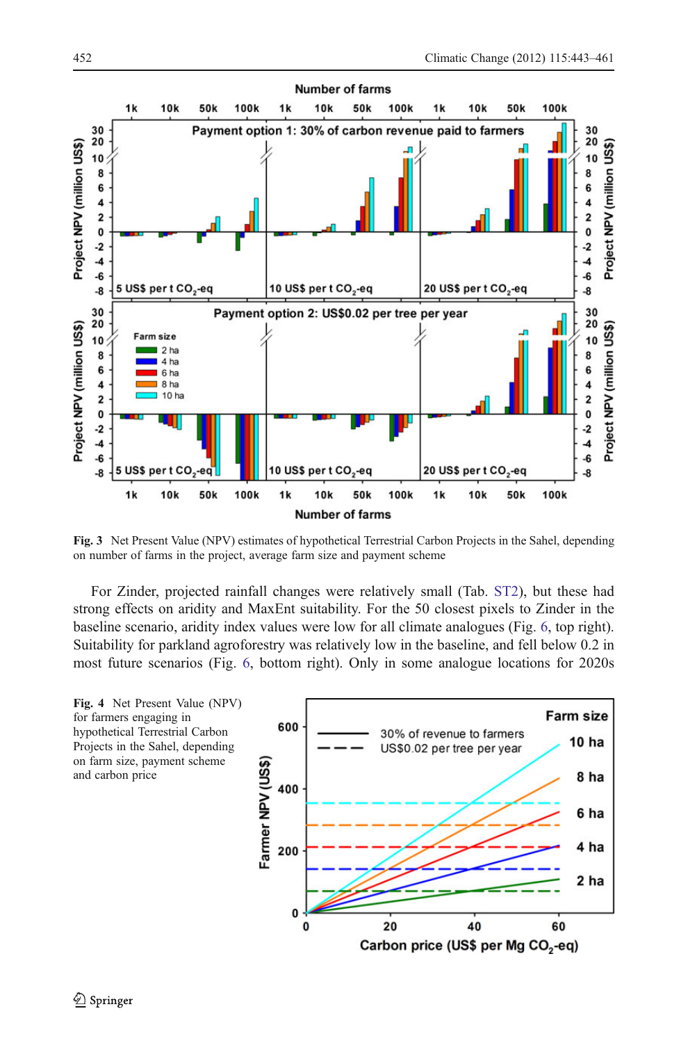<span id="page-9-0"></span>

Fig. 3 Net Present Value (NPV) estimates of hypothetical Terrestrial Carbon Projects in the Sahel, depending on number of farms in the project, average farm size and payment scheme

For Zinder, projected rainfall changes were relatively small (Tab. ST2), but these had strong effects on aridity and MaxEnt suitability. For the 50 closest pixels to Zinder in the baseline scenario, aridity index values were low for all climate analogues (Fig. [6](#page-11-0), top right). Suitability for parkland agroforestry was relatively low in the baseline, and fell below 0.2 in most future scenarios (Fig. [6,](#page-11-0) bottom right). Only in some analogue locations for 2020s

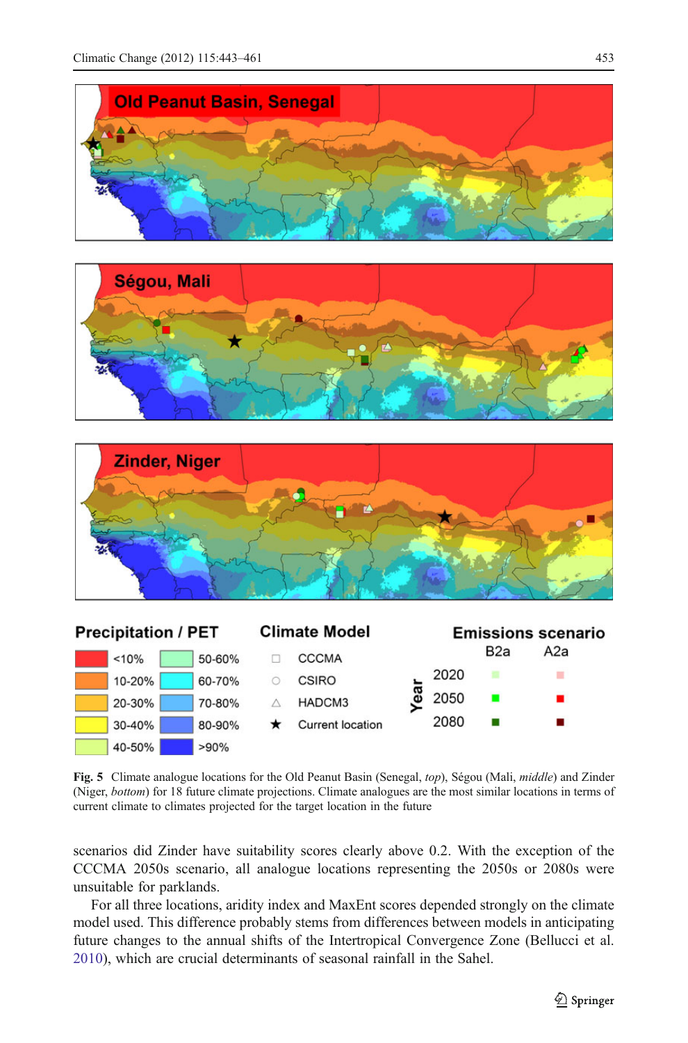<span id="page-10-0"></span>







Fig. 5 Climate analogue locations for the Old Peanut Basin (Senegal, top), Ségou (Mali, middle) and Zinder (Niger, bottom) for 18 future climate projections. Climate analogues are the most similar locations in terms of current climate to climates projected for the target location in the future

scenarios did Zinder have suitability scores clearly above 0.2. With the exception of the CCCMA 2050s scenario, all analogue locations representing the 2050s or 2080s were unsuitable for parklands.

For all three locations, aridity index and MaxEnt scores depended strongly on the climate model used. This difference probably stems from differences between models in anticipating future changes to the annual shifts of the Intertropical Convergence Zone (Bellucci et al. [2010\)](#page-16-0), which are crucial determinants of seasonal rainfall in the Sahel.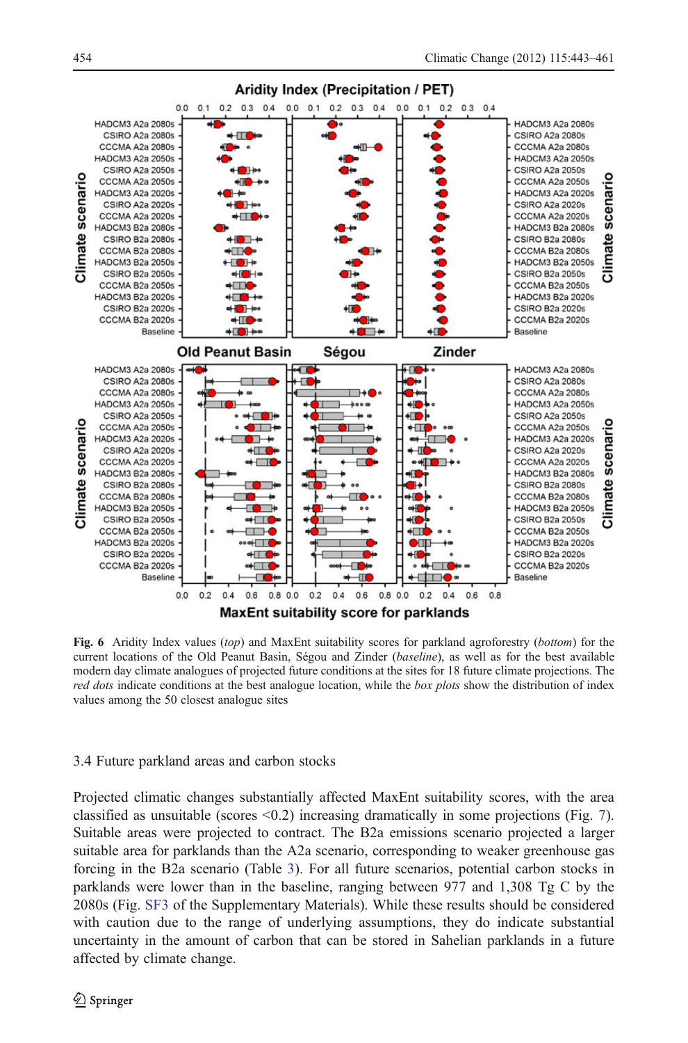<span id="page-11-0"></span>

Fig. 6 Aridity Index values (top) and MaxEnt suitability scores for parkland agroforestry (bottom) for the current locations of the Old Peanut Basin, Ségou and Zinder (baseline), as well as for the best available modern day climate analogues of projected future conditions at the sites for 18 future climate projections. The red dots indicate conditions at the best analogue location, while the box plots show the distribution of index values among the 50 closest analogue sites

#### 3.4 Future parkland areas and carbon stocks

Projected climatic changes substantially affected MaxEnt suitability scores, with the area classified as unsuitable (scores <0.2) increasing dramatically in some projections (Fig. [7](#page-12-0)). Suitable areas were projected to contract. The B2a emissions scenario projected a larger suitable area for parklands than the A2a scenario, corresponding to weaker greenhouse gas forcing in the B2a scenario (Table [3](#page-12-0)). For all future scenarios, potential carbon stocks in parklands were lower than in the baseline, ranging between 977 and 1,308 Tg C by the 2080s (Fig. SF3 of the Supplementary Materials). While these results should be considered with caution due to the range of underlying assumptions, they do indicate substantial uncertainty in the amount of carbon that can be stored in Sahelian parklands in a future affected by climate change.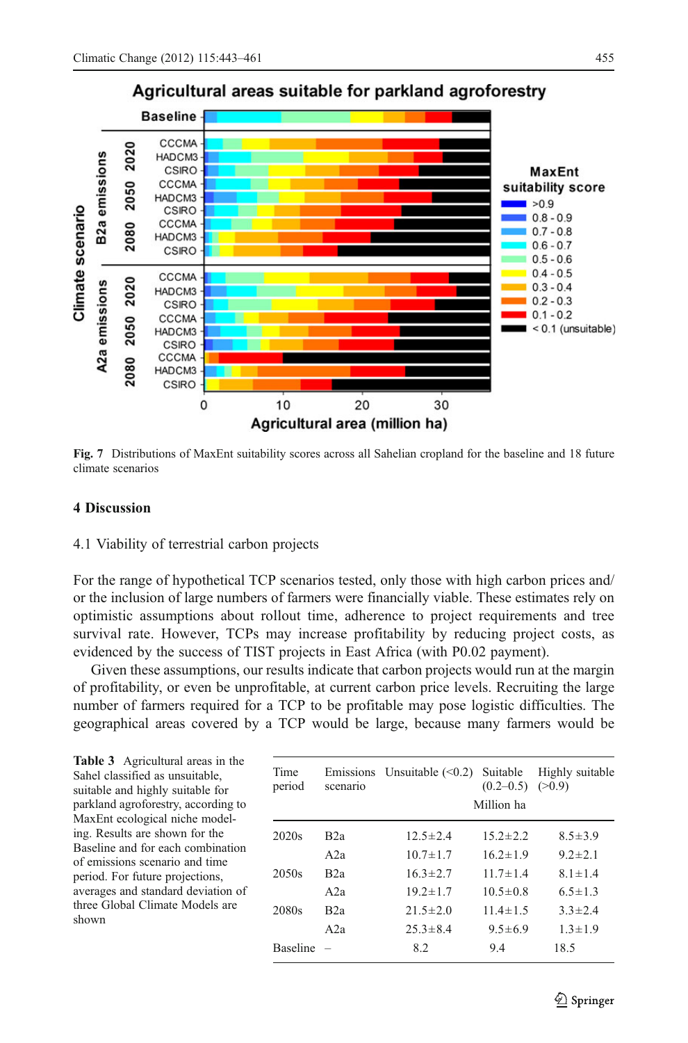<span id="page-12-0"></span>

# Agricultural areas suitable for parkland agroforestry

Fig. 7 Distributions of MaxEnt suitability scores across all Sahelian cropland for the baseline and 18 future climate scenarios

# 4 Discussion

#### 4.1 Viability of terrestrial carbon projects

For the range of hypothetical TCP scenarios tested, only those with high carbon prices and/ or the inclusion of large numbers of farmers were financially viable. These estimates rely on optimistic assumptions about rollout time, adherence to project requirements and tree survival rate. However, TCPs may increase profitability by reducing project costs, as evidenced by the success of TIST projects in East Africa (with P0.02 payment).

Given these assumptions, our results indicate that carbon projects would run at the margin of profitability, or even be unprofitable, at current carbon price levels. Recruiting the large number of farmers required for a TCP to be profitable may pose logistic difficulties. The geographical areas covered by a TCP would be large, because many farmers would be

| <b>Table 3</b> Agricultural areas in the<br>Sahel classified as unsuitable,<br>suitable and highly suitable for<br>parkland agroforestry, according to | Time<br>period  | Emissions<br>scenario | Unsuitable $(0.2) Suitable$      | $(0.2 - 0.5)$<br>Million ha      | Highly suitable<br>(>0.9)      |
|--------------------------------------------------------------------------------------------------------------------------------------------------------|-----------------|-----------------------|----------------------------------|----------------------------------|--------------------------------|
| MaxEnt ecological niche model-<br>ing. Results are shown for the<br>Baseline and for each combination                                                  | 2020s           | B2a<br>A2a            | $12.5 \pm 2.4$<br>$10.7 \pm 1.7$ | $15.2 \pm 2.2$<br>$16.2 \pm 1.9$ | $8.5 \pm 3.9$<br>$9.2 \pm 2.1$ |
| of emissions scenario and time<br>period. For future projections,<br>averages and standard deviation of                                                | 2050s           | B2a<br>A2a            | $16.3 \pm 2.7$<br>$19.2 \pm 1.7$ | $11.7 \pm 1.4$<br>$10.5 \pm 0.8$ | $8.1 \pm 1.4$<br>$6.5 \pm 1.3$ |
| three Global Climate Models are<br>shown                                                                                                               | 2080s           | B2a                   | $21.5 \pm 2.0$                   | $11.4 \pm 1.5$                   | $3.3 \pm 2.4$                  |
|                                                                                                                                                        | <b>Baseline</b> | A2a                   | $25.3 \pm 8.4$<br>8.2            | $9.5 \pm 6.9$<br>9.4             | $1.3 \pm 1.9$<br>18.5          |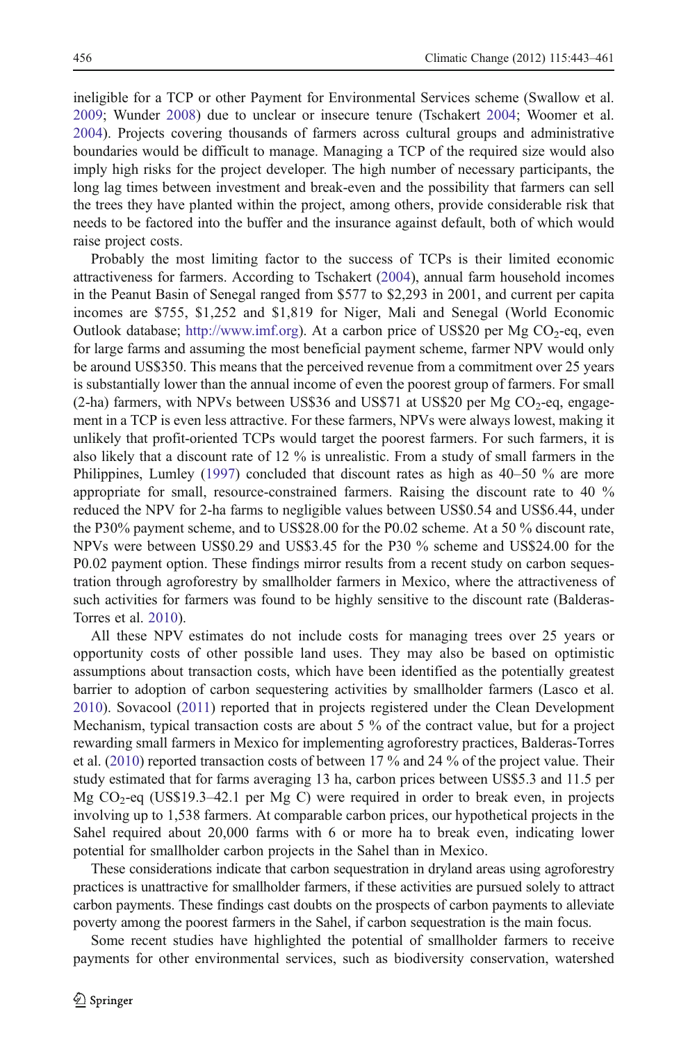ineligible for a TCP or other Payment for Environmental Services scheme (Swallow et al. [2009;](#page-17-0) Wunder [2008](#page-18-0)) due to unclear or insecure tenure (Tschakert [2004;](#page-18-0) Woomer et al. [2004\)](#page-18-0). Projects covering thousands of farmers across cultural groups and administrative boundaries would be difficult to manage. Managing a TCP of the required size would also imply high risks for the project developer. The high number of necessary participants, the long lag times between investment and break-even and the possibility that farmers can sell the trees they have planted within the project, among others, provide considerable risk that needs to be factored into the buffer and the insurance against default, both of which would raise project costs.

Probably the most limiting factor to the success of TCPs is their limited economic attractiveness for farmers. According to Tschakert ([2004](#page-18-0)), annual farm household incomes in the Peanut Basin of Senegal ranged from \$577 to \$2,293 in 2001, and current per capita incomes are \$755, \$1,252 and \$1,819 for Niger, Mali and Senegal (World Economic Outlook database; [http://www.imf.org\)](http://www.imf.org). At a carbon price of US\$20 per Mg  $CO_2$ -eq, even for large farms and assuming the most beneficial payment scheme, farmer NPV would only be around US\$350. This means that the perceived revenue from a commitment over 25 years is substantially lower than the annual income of even the poorest group of farmers. For small  $(2-ha)$  farmers, with NPVs between US\$36 and US\$71 at US\$20 per Mg CO<sub>2</sub>-eq, engagement in a TCP is even less attractive. For these farmers, NPVs were always lowest, making it unlikely that profit-oriented TCPs would target the poorest farmers. For such farmers, it is also likely that a discount rate of 12 % is unrealistic. From a study of small farmers in the Philippines, Lumley [\(1997](#page-17-0)) concluded that discount rates as high as 40–50 % are more appropriate for small, resource-constrained farmers. Raising the discount rate to 40 % reduced the NPV for 2-ha farms to negligible values between US\$0.54 and US\$6.44, under the P30% payment scheme, and to US\$28.00 for the P0.02 scheme. At a 50 % discount rate, NPVs were between US\$0.29 and US\$3.45 for the P30 % scheme and US\$24.00 for the P0.02 payment option. These findings mirror results from a recent study on carbon sequestration through agroforestry by smallholder farmers in Mexico, where the attractiveness of such activities for farmers was found to be highly sensitive to the discount rate (Balderas-Torres et al. [2010\)](#page-16-0).

All these NPV estimates do not include costs for managing trees over 25 years or opportunity costs of other possible land uses. They may also be based on optimistic assumptions about transaction costs, which have been identified as the potentially greatest barrier to adoption of carbon sequestering activities by smallholder farmers (Lasco et al. [2010\)](#page-16-0). Sovacool [\(2011\)](#page-17-0) reported that in projects registered under the Clean Development Mechanism, typical transaction costs are about 5 % of the contract value, but for a project rewarding small farmers in Mexico for implementing agroforestry practices, Balderas-Torres et al. [\(2010](#page-16-0)) reported transaction costs of between 17 % and 24 % of the project value. Their study estimated that for farms averaging 13 ha, carbon prices between US\$5.3 and 11.5 per Mg  $CO<sub>2</sub>$ -eq (US\$19.3–42.1 per Mg C) were required in order to break even, in projects involving up to 1,538 farmers. At comparable carbon prices, our hypothetical projects in the Sahel required about 20,000 farms with 6 or more ha to break even, indicating lower potential for smallholder carbon projects in the Sahel than in Mexico.

These considerations indicate that carbon sequestration in dryland areas using agroforestry practices is unattractive for smallholder farmers, if these activities are pursued solely to attract carbon payments. These findings cast doubts on the prospects of carbon payments to alleviate poverty among the poorest farmers in the Sahel, if carbon sequestration is the main focus.

Some recent studies have highlighted the potential of smallholder farmers to receive payments for other environmental services, such as biodiversity conservation, watershed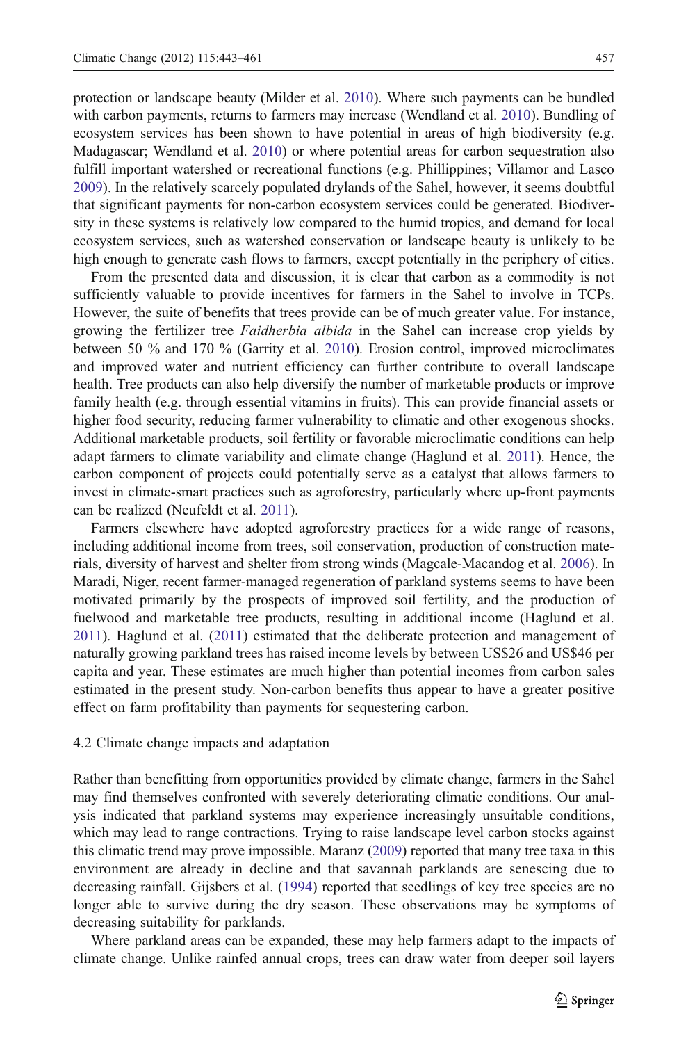protection or landscape beauty (Milder et al. [2010\)](#page-17-0). Where such payments can be bundled with carbon payments, returns to farmers may increase (Wendland et al. [2010](#page-18-0)). Bundling of ecosystem services has been shown to have potential in areas of high biodiversity (e.g. Madagascar; Wendland et al. [2010](#page-18-0)) or where potential areas for carbon sequestration also fulfill important watershed or recreational functions (e.g. Phillippines; Villamor and Lasco [2009\)](#page-18-0). In the relatively scarcely populated drylands of the Sahel, however, it seems doubtful that significant payments for non-carbon ecosystem services could be generated. Biodiversity in these systems is relatively low compared to the humid tropics, and demand for local ecosystem services, such as watershed conservation or landscape beauty is unlikely to be high enough to generate cash flows to farmers, except potentially in the periphery of cities.

From the presented data and discussion, it is clear that carbon as a commodity is not sufficiently valuable to provide incentives for farmers in the Sahel to involve in TCPs. However, the suite of benefits that trees provide can be of much greater value. For instance, growing the fertilizer tree *Faidherbia albida* in the Sahel can increase crop yields by between 50 % and 170 % (Garrity et al. [2010\)](#page-16-0). Erosion control, improved microclimates and improved water and nutrient efficiency can further contribute to overall landscape health. Tree products can also help diversify the number of marketable products or improve family health (e.g. through essential vitamins in fruits). This can provide financial assets or higher food security, reducing farmer vulnerability to climatic and other exogenous shocks. Additional marketable products, soil fertility or favorable microclimatic conditions can help adapt farmers to climate variability and climate change (Haglund et al. [2011\)](#page-16-0). Hence, the carbon component of projects could potentially serve as a catalyst that allows farmers to invest in climate-smart practices such as agroforestry, particularly where up-front payments can be realized (Neufeldt et al. [2011](#page-17-0)).

Farmers elsewhere have adopted agroforestry practices for a wide range of reasons, including additional income from trees, soil conservation, production of construction materials, diversity of harvest and shelter from strong winds (Magcale-Macandog et al. [2006\)](#page-17-0). In Maradi, Niger, recent farmer-managed regeneration of parkland systems seems to have been motivated primarily by the prospects of improved soil fertility, and the production of fuelwood and marketable tree products, resulting in additional income (Haglund et al. [2011](#page-16-0)). Haglund et al. ([2011](#page-16-0)) estimated that the deliberate protection and management of naturally growing parkland trees has raised income levels by between US\$26 and US\$46 per capita and year. These estimates are much higher than potential incomes from carbon sales estimated in the present study. Non-carbon benefits thus appear to have a greater positive effect on farm profitability than payments for sequestering carbon.

#### 4.2 Climate change impacts and adaptation

Rather than benefitting from opportunities provided by climate change, farmers in the Sahel may find themselves confronted with severely deteriorating climatic conditions. Our analysis indicated that parkland systems may experience increasingly unsuitable conditions, which may lead to range contractions. Trying to raise landscape level carbon stocks against this climatic trend may prove impossible. Maranz ([2009\)](#page-17-0) reported that many tree taxa in this environment are already in decline and that savannah parklands are senescing due to decreasing rainfall. Gijsbers et al. ([1994\)](#page-16-0) reported that seedlings of key tree species are no longer able to survive during the dry season. These observations may be symptoms of decreasing suitability for parklands.

Where parkland areas can be expanded, these may help farmers adapt to the impacts of climate change. Unlike rainfed annual crops, trees can draw water from deeper soil layers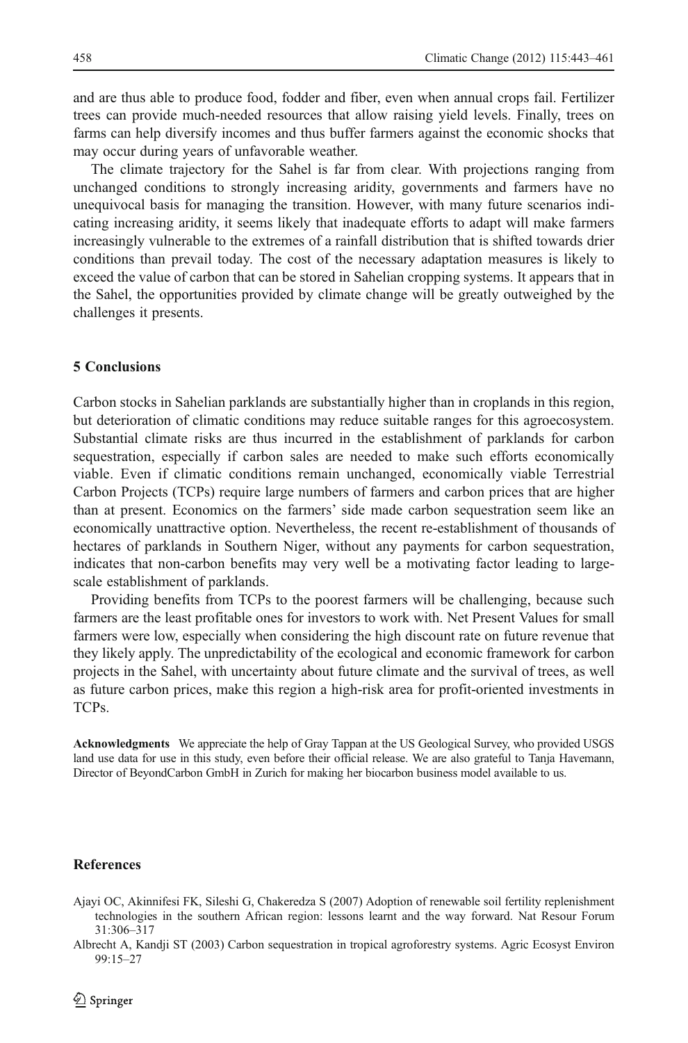<span id="page-15-0"></span>and are thus able to produce food, fodder and fiber, even when annual crops fail. Fertilizer trees can provide much-needed resources that allow raising yield levels. Finally, trees on farms can help diversify incomes and thus buffer farmers against the economic shocks that may occur during years of unfavorable weather.

The climate trajectory for the Sahel is far from clear. With projections ranging from unchanged conditions to strongly increasing aridity, governments and farmers have no unequivocal basis for managing the transition. However, with many future scenarios indicating increasing aridity, it seems likely that inadequate efforts to adapt will make farmers increasingly vulnerable to the extremes of a rainfall distribution that is shifted towards drier conditions than prevail today. The cost of the necessary adaptation measures is likely to exceed the value of carbon that can be stored in Sahelian cropping systems. It appears that in the Sahel, the opportunities provided by climate change will be greatly outweighed by the challenges it presents.

# 5 Conclusions

Carbon stocks in Sahelian parklands are substantially higher than in croplands in this region, but deterioration of climatic conditions may reduce suitable ranges for this agroecosystem. Substantial climate risks are thus incurred in the establishment of parklands for carbon sequestration, especially if carbon sales are needed to make such efforts economically viable. Even if climatic conditions remain unchanged, economically viable Terrestrial Carbon Projects (TCPs) require large numbers of farmers and carbon prices that are higher than at present. Economics on the farmers' side made carbon sequestration seem like an economically unattractive option. Nevertheless, the recent re-establishment of thousands of hectares of parklands in Southern Niger, without any payments for carbon sequestration, indicates that non-carbon benefits may very well be a motivating factor leading to largescale establishment of parklands.

Providing benefits from TCPs to the poorest farmers will be challenging, because such farmers are the least profitable ones for investors to work with. Net Present Values for small farmers were low, especially when considering the high discount rate on future revenue that they likely apply. The unpredictability of the ecological and economic framework for carbon projects in the Sahel, with uncertainty about future climate and the survival of trees, as well as future carbon prices, make this region a high-risk area for profit-oriented investments in TCPs.

Acknowledgments We appreciate the help of Gray Tappan at the US Geological Survey, who provided USGS land use data for use in this study, even before their official release. We are also grateful to Tanja Havemann, Director of BeyondCarbon GmbH in Zurich for making her biocarbon business model available to us.

## **References**

Ajayi OC, Akinnifesi FK, Sileshi G, Chakeredza S (2007) Adoption of renewable soil fertility replenishment technologies in the southern African region: lessons learnt and the way forward. Nat Resour Forum 31:306–317

Albrecht A, Kandji ST (2003) Carbon sequestration in tropical agroforestry systems. Agric Ecosyst Environ 99:15–27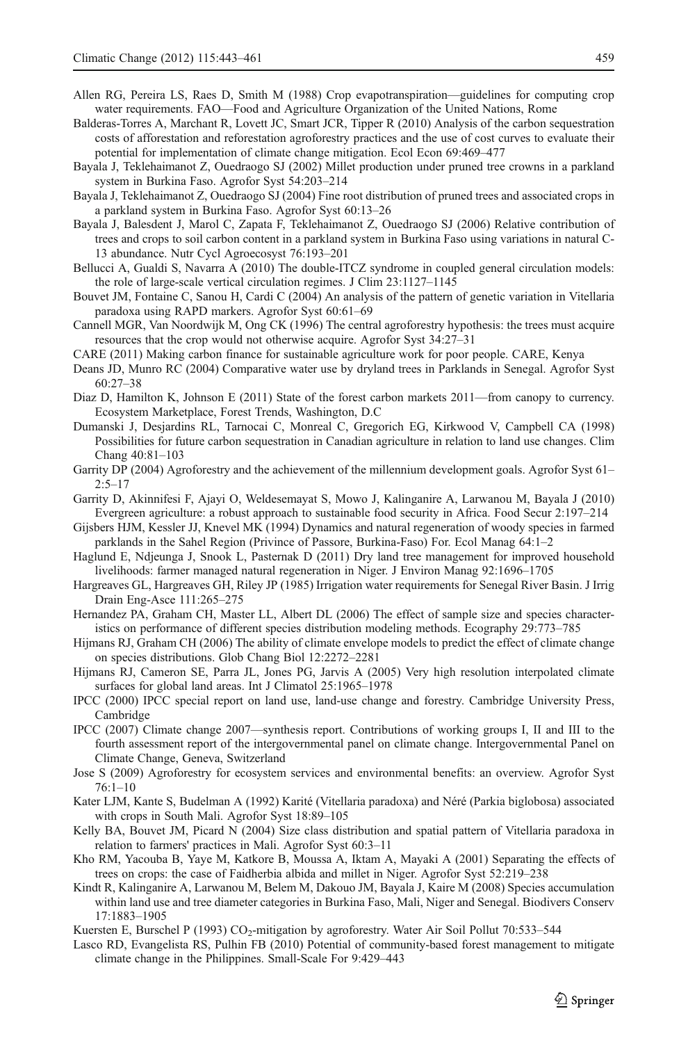- <span id="page-16-0"></span>Allen RG, Pereira LS, Raes D, Smith M (1988) Crop evapotranspiration—guidelines for computing crop water requirements. FAO—Food and Agriculture Organization of the United Nations, Rome
- Balderas-Torres A, Marchant R, Lovett JC, Smart JCR, Tipper R (2010) Analysis of the carbon sequestration costs of afforestation and reforestation agroforestry practices and the use of cost curves to evaluate their potential for implementation of climate change mitigation. Ecol Econ 69:469–477
- Bayala J, Teklehaimanot Z, Ouedraogo SJ (2002) Millet production under pruned tree crowns in a parkland system in Burkina Faso. Agrofor Syst 54:203–214
- Bayala J, Teklehaimanot Z, Ouedraogo SJ (2004) Fine root distribution of pruned trees and associated crops in a parkland system in Burkina Faso. Agrofor Syst 60:13–26
- Bayala J, Balesdent J, Marol C, Zapata F, Teklehaimanot Z, Ouedraogo SJ (2006) Relative contribution of trees and crops to soil carbon content in a parkland system in Burkina Faso using variations in natural C-13 abundance. Nutr Cycl Agroecosyst 76:193–201
- Bellucci A, Gualdi S, Navarra A (2010) The double-ITCZ syndrome in coupled general circulation models: the role of large-scale vertical circulation regimes. J Clim 23:1127–1145
- Bouvet JM, Fontaine C, Sanou H, Cardi C (2004) An analysis of the pattern of genetic variation in Vitellaria paradoxa using RAPD markers. Agrofor Syst 60:61–69
- Cannell MGR, Van Noordwijk M, Ong CK (1996) The central agroforestry hypothesis: the trees must acquire resources that the crop would not otherwise acquire. Agrofor Syst 34:27–31
- CARE (2011) Making carbon finance for sustainable agriculture work for poor people. CARE, Kenya
- Deans JD, Munro RC (2004) Comparative water use by dryland trees in Parklands in Senegal. Agrofor Syst 60:27–38
- Diaz D, Hamilton K, Johnson E (2011) State of the forest carbon markets 2011—from canopy to currency. Ecosystem Marketplace, Forest Trends, Washington, D.C
- Dumanski J, Desjardins RL, Tarnocai C, Monreal C, Gregorich EG, Kirkwood V, Campbell CA (1998) Possibilities for future carbon sequestration in Canadian agriculture in relation to land use changes. Clim Chang 40:81–103
- Garrity DP (2004) Agroforestry and the achievement of the millennium development goals. Agrofor Syst 61– 2:5–17
- Garrity D, Akinnifesi F, Ajayi O, Weldesemayat S, Mowo J, Kalinganire A, Larwanou M, Bayala J (2010) Evergreen agriculture: a robust approach to sustainable food security in Africa. Food Secur 2:197–214
- Gijsbers HJM, Kessler JJ, Knevel MK (1994) Dynamics and natural regeneration of woody species in farmed parklands in the Sahel Region (Privince of Passore, Burkina-Faso) For. Ecol Manag 64:1–2
- Haglund E, Ndjeunga J, Snook L, Pasternak D (2011) Dry land tree management for improved household livelihoods: farmer managed natural regeneration in Niger. J Environ Manag 92:1696–1705
- Hargreaves GL, Hargreaves GH, Riley JP (1985) Irrigation water requirements for Senegal River Basin. J Irrig Drain Eng-Asce 111:265–275
- Hernandez PA, Graham CH, Master LL, Albert DL (2006) The effect of sample size and species characteristics on performance of different species distribution modeling methods. Ecography 29:773–785
- Hijmans RJ, Graham CH (2006) The ability of climate envelope models to predict the effect of climate change on species distributions. Glob Chang Biol 12:2272–2281
- Hijmans RJ, Cameron SE, Parra JL, Jones PG, Jarvis A (2005) Very high resolution interpolated climate surfaces for global land areas. Int J Climatol 25:1965–1978
- IPCC (2000) IPCC special report on land use, land-use change and forestry. Cambridge University Press, Cambridge
- IPCC (2007) Climate change 2007—synthesis report. Contributions of working groups I, II and III to the fourth assessment report of the intergovernmental panel on climate change. Intergovernmental Panel on Climate Change, Geneva, Switzerland
- Jose S (2009) Agroforestry for ecosystem services and environmental benefits: an overview. Agrofor Syst 76:1–10
- Kater LJM, Kante S, Budelman A (1992) Karité (Vitellaria paradoxa) and Néré (Parkia biglobosa) associated with crops in South Mali. Agrofor Syst 18:89–105
- Kelly BA, Bouvet JM, Picard N (2004) Size class distribution and spatial pattern of Vitellaria paradoxa in relation to farmers' practices in Mali. Agrofor Syst 60:3–11
- Kho RM, Yacouba B, Yaye M, Katkore B, Moussa A, Iktam A, Mayaki A (2001) Separating the effects of trees on crops: the case of Faidherbia albida and millet in Niger. Agrofor Syst 52:219–238
- Kindt R, Kalinganire A, Larwanou M, Belem M, Dakouo JM, Bayala J, Kaire M (2008) Species accumulation within land use and tree diameter categories in Burkina Faso, Mali, Niger and Senegal. Biodivers Conserv 17:1883–1905
- Kuersten E, Burschel P (1993) CO<sub>2</sub>-mitigation by agroforestry. Water Air Soil Pollut 70:533–544
- Lasco RD, Evangelista RS, Pulhin FB (2010) Potential of community-based forest management to mitigate climate change in the Philippines. Small-Scale For 9:429–443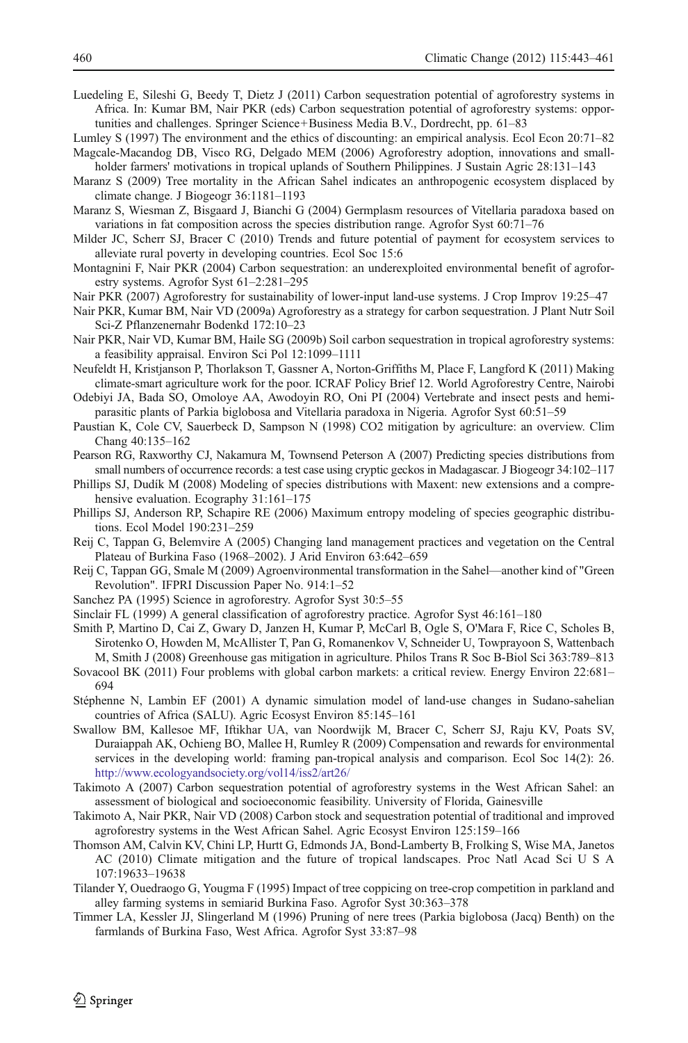- <span id="page-17-0"></span>Luedeling E, Sileshi G, Beedy T, Dietz J (2011) Carbon sequestration potential of agroforestry systems in Africa. In: Kumar BM, Nair PKR (eds) Carbon sequestration potential of agroforestry systems: opportunities and challenges. Springer Science+Business Media B.V., Dordrecht, pp. 61–83
- Lumley S (1997) The environment and the ethics of discounting: an empirical analysis. Ecol Econ 20:71–82 Magcale-Macandog DB, Visco RG, Delgado MEM (2006) Agroforestry adoption, innovations and small-
- holder farmers' motivations in tropical uplands of Southern Philippines. J Sustain Agric 28:131–143 Maranz S (2009) Tree mortality in the African Sahel indicates an anthropogenic ecosystem displaced by climate change. J Biogeogr 36:1181–1193
- Maranz S, Wiesman Z, Bisgaard J, Bianchi G (2004) Germplasm resources of Vitellaria paradoxa based on variations in fat composition across the species distribution range. Agrofor Syst 60:71–76
- Milder JC, Scherr SJ, Bracer C (2010) Trends and future potential of payment for ecosystem services to alleviate rural poverty in developing countries. Ecol Soc 15:6
- Montagnini F, Nair PKR (2004) Carbon sequestration: an underexploited environmental benefit of agroforestry systems. Agrofor Syst 61–2:281–295
- Nair PKR (2007) Agroforestry for sustainability of lower-input land-use systems. J Crop Improv 19:25–47
- Nair PKR, Kumar BM, Nair VD (2009a) Agroforestry as a strategy for carbon sequestration. J Plant Nutr Soil Sci-Z Pflanzenernahr Bodenkd 172:10–23
- Nair PKR, Nair VD, Kumar BM, Haile SG (2009b) Soil carbon sequestration in tropical agroforestry systems: a feasibility appraisal. Environ Sci Pol 12:1099–1111
- Neufeldt H, Kristjanson P, Thorlakson T, Gassner A, Norton-Griffiths M, Place F, Langford K (2011) Making climate-smart agriculture work for the poor. ICRAF Policy Brief 12. World Agroforestry Centre, Nairobi
- Odebiyi JA, Bada SO, Omoloye AA, Awodoyin RO, Oni PI (2004) Vertebrate and insect pests and hemiparasitic plants of Parkia biglobosa and Vitellaria paradoxa in Nigeria. Agrofor Syst 60:51–59
- Paustian K, Cole CV, Sauerbeck D, Sampson N (1998) CO2 mitigation by agriculture: an overview. Clim Chang 40:135–162
- Pearson RG, Raxworthy CJ, Nakamura M, Townsend Peterson A (2007) Predicting species distributions from small numbers of occurrence records: a test case using cryptic geckos in Madagascar. J Biogeogr 34:102–117
- Phillips SJ, Dudík M (2008) Modeling of species distributions with Maxent: new extensions and a comprehensive evaluation. Ecography 31:161–175
- Phillips SJ, Anderson RP, Schapire RE (2006) Maximum entropy modeling of species geographic distributions. Ecol Model 190:231–259
- Reij C, Tappan G, Belemvire A (2005) Changing land management practices and vegetation on the Central Plateau of Burkina Faso (1968–2002). J Arid Environ 63:642–659
- Reij C, Tappan GG, Smale M (2009) Agroenvironmental transformation in the Sahel—another kind of "Green Revolution". IFPRI Discussion Paper No. 914:1–52
- Sanchez PA (1995) Science in agroforestry. Agrofor Syst 30:5–55
- Sinclair FL (1999) A general classification of agroforestry practice. Agrofor Syst 46:161–180
- Smith P, Martino D, Cai Z, Gwary D, Janzen H, Kumar P, McCarl B, Ogle S, O'Mara F, Rice C, Scholes B, Sirotenko O, Howden M, McAllister T, Pan G, Romanenkov V, Schneider U, Towprayoon S, Wattenbach M, Smith J (2008) Greenhouse gas mitigation in agriculture. Philos Trans R Soc B-Biol Sci 363:789–813
- Sovacool BK (2011) Four problems with global carbon markets: a critical review. Energy Environ 22:681– 694
- Stéphenne N, Lambin EF (2001) A dynamic simulation model of land-use changes in Sudano-sahelian countries of Africa (SALU). Agric Ecosyst Environ 85:145–161
- Swallow BM, Kallesoe MF, Iftikhar UA, van Noordwijk M, Bracer C, Scherr SJ, Raju KV, Poats SV, Duraiappah AK, Ochieng BO, Mallee H, Rumley R (2009) Compensation and rewards for environmental services in the developing world: framing pan-tropical analysis and comparison. Ecol Soc 14(2): 26. <http://www.ecologyandsociety.org/vol14/iss2/art26/>
- Takimoto A (2007) Carbon sequestration potential of agroforestry systems in the West African Sahel: an assessment of biological and socioeconomic feasibility. University of Florida, Gainesville
- Takimoto A, Nair PKR, Nair VD (2008) Carbon stock and sequestration potential of traditional and improved agroforestry systems in the West African Sahel. Agric Ecosyst Environ 125:159–166
- Thomson AM, Calvin KV, Chini LP, Hurtt G, Edmonds JA, Bond-Lamberty B, Frolking S, Wise MA, Janetos AC (2010) Climate mitigation and the future of tropical landscapes. Proc Natl Acad Sci U S A 107:19633–19638
- Tilander Y, Ouedraogo G, Yougma F (1995) Impact of tree coppicing on tree-crop competition in parkland and alley farming systems in semiarid Burkina Faso. Agrofor Syst 30:363–378
- Timmer LA, Kessler JJ, Slingerland M (1996) Pruning of nere trees (Parkia biglobosa (Jacq) Benth) on the farmlands of Burkina Faso, West Africa. Agrofor Syst 33:87–98